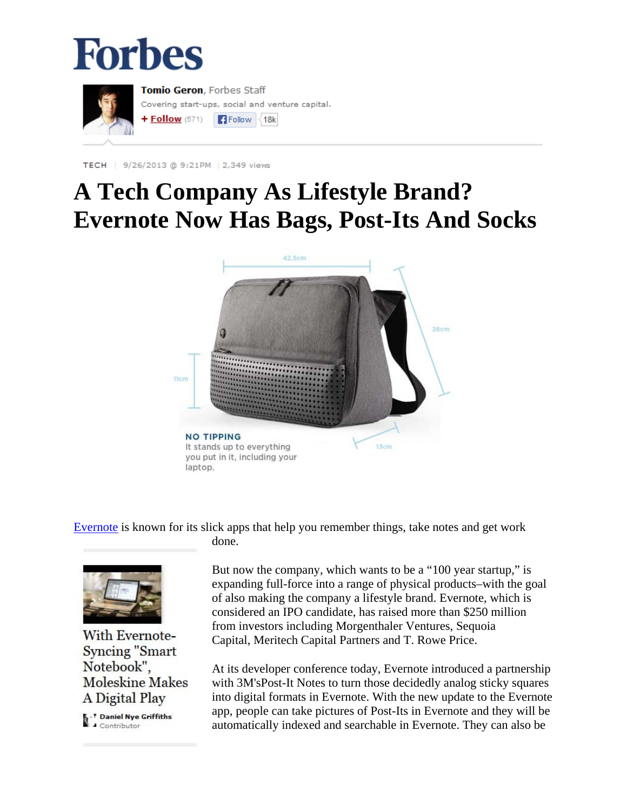## **Forbes**



TECH | 9/26/2013 @ 9:21PM | 2,349 views

## **A Tech Company As Lifestyle Brand? Evernote Now Has Bags, Post-Its And Socks**



Evernote is known for its slick apps that help you remember things, take notes and get work done.



With Evernote-**Syncing "Smart** Notebook", **Moleskine Makes** A Digital Play

*T* Daniel Nye Griffiths ▲ Contributor

But now the company, which wants to be a "100 year startup," is expanding full-force into a range of physical products–with the goal of also making the company a lifestyle brand. Evernote, which is considered an IPO candidate, has raised more than \$250 million from investors including Morgenthaler Ventures, Sequoia Capital, Meritech Capital Partners and T. Rowe Price.

At its developer conference today, Evernote introduced a partnership with 3M'sPost-It Notes to turn those decidedly analog sticky squares into digital formats in Evernote. With the new update to the Evernote app, people can take pictures of Post-Its in Evernote and they will be automatically indexed and searchable in Evernote. They can also be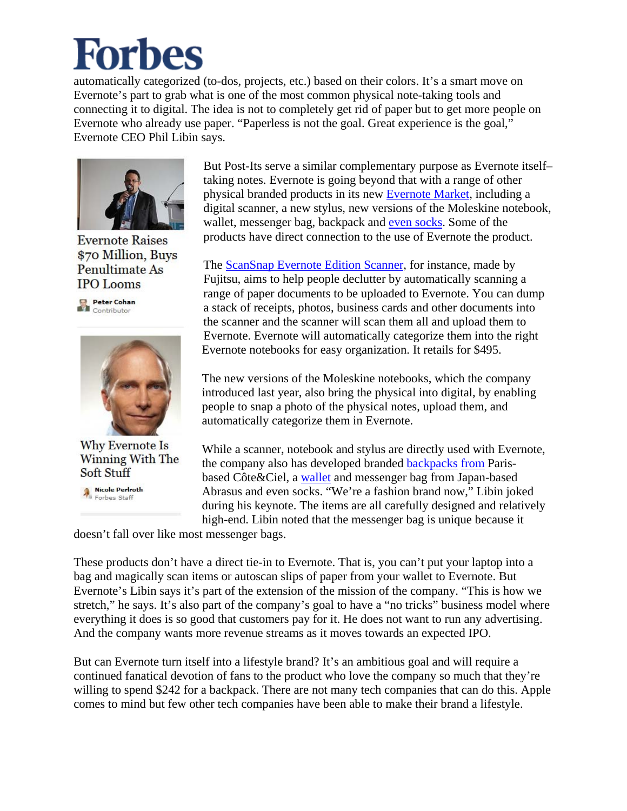## **Forbes**

automatically categorized (to-dos, projects, etc.) based on their colors. It's a smart move on Evernote's part to grab what is one of the most common physical note-taking tools and connecting it to digital. The idea is not to completely get rid of paper but to get more people on Evernote who already use paper. "Paperless is not the goal. Great experience is the goal," Evernote CEO Phil Libin says.



**Evernote Raises** \$70 Million, Buys Penultimate As **IPO** Looms





**Why Evernote Is** Winning With The **Soft Stuff** 



But Post-Its serve a similar complementary purpose as Evernote itself– taking notes. Evernote is going beyond that with a range of other physical branded products in its new Evernote Market, including a digital scanner, a new stylus, new versions of the Moleskine notebook, wallet, messenger bag, backpack and even socks. Some of the products have direct connection to the use of Evernote the product.

The ScanSnap Evernote Edition Scanner, for instance, made by Fujitsu, aims to help people declutter by automatically scanning a range of paper documents to be uploaded to Evernote. You can dump a stack of receipts, photos, business cards and other documents into the scanner and the scanner will scan them all and upload them to Evernote. Evernote will automatically categorize them into the right Evernote notebooks for easy organization. It retails for \$495.

The new versions of the Moleskine notebooks, which the company introduced last year, also bring the physical into digital, by enabling people to snap a photo of the physical notes, upload them, and automatically categorize them in Evernote.

While a scanner, notebook and stylus are directly used with Evernote, the company also has developed branded backpacks from Parisbased Côte&Ciel, a wallet and messenger bag from Japan-based Abrasus and even socks. "We're a fashion brand now," Libin joked during his keynote. The items are all carefully designed and relatively high-end. Libin noted that the messenger bag is unique because it

doesn't fall over like most messenger bags.

These products don't have a direct tie-in to Evernote. That is, you can't put your laptop into a bag and magically scan items or autoscan slips of paper from your wallet to Evernote. But Evernote's Libin says it's part of the extension of the mission of the company. "This is how we stretch," he says. It's also part of the company's goal to have a "no tricks" business model where everything it does is so good that customers pay for it. He does not want to run any advertising. And the company wants more revenue streams as it moves towards an expected IPO.

But can Evernote turn itself into a lifestyle brand? It's an ambitious goal and will require a continued fanatical devotion of fans to the product who love the company so much that they're willing to spend \$242 for a backpack. There are not many tech companies that can do this. Apple comes to mind but few other tech companies have been able to make their brand a lifestyle.